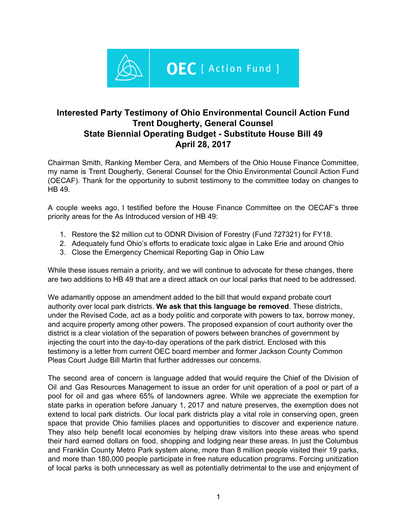

## **Interested Party Testimony of Ohio Environmental Council Action Fund Trent Dougherty, General Counsel State Biennial Operating Budget - Substitute House Bill 49 April 28, 2017**

Chairman Smith, Ranking Member Cera, and Members of the Ohio House Finance Committee, my name is Trent Dougherty, General Counsel for the Ohio Environmental Council Action Fund (OECAF). Thank for the opportunity to submit testimony to the committee today on changes to HB 49.

A couple weeks ago, I testified before the House Finance Committee on the OECAF's three priority areas for the As Introduced version of HB 49:

- 1. Restore the \$2 million cut to ODNR Division of Forestry (Fund 727321) for FY18.
- 2. Adequately fund Ohio's efforts to eradicate toxic algae in Lake Erie and around Ohio
- 3. Close the Emergency Chemical Reporting Gap in Ohio Law

While these issues remain a priority, and we will continue to advocate for these changes, there are two additions to HB 49 that are a direct attack on our local parks that need to be addressed.

We adamantly oppose an amendment added to the bill that would expand probate court authority over local park districts. **We ask that this language be removed**. These districts, under the Revised Code, act as a body politic and corporate with powers to tax, borrow money, and acquire property among other powers. The proposed expansion of court authority over the district is a clear violation of the separation of powers between branches of government by injecting the court into the day-to-day operations of the park district. Enclosed with this testimony is a letter from current OEC board member and former Jackson County Common Pleas Court Judge Bill Martin that further addresses our concerns.

The second area of concern is language added that would require the Chief of the Division of Oil and Gas Resources Management to issue an order for unit operation of a pool or part of a pool for oil and gas where 65% of landowners agree. While we appreciate the exemption for state parks in operation before January 1, 2017 and nature preserves, the exemption does not extend to local park districts. Our local park districts play a vital role in conserving open, green space that provide Ohio families places and opportunities to discover and experience nature. They also help benefit local economies by helping draw visitors into these areas who spend their hard earned dollars on food, shopping and lodging near these areas. In just the Columbus and Franklin County Metro Park system alone, more than 8 million people visited their 19 parks, and more than 180,000 people participate in free nature education programs. Forcing unitization of local parks is both unnecessary as well as potentially detrimental to the use and enjoyment of